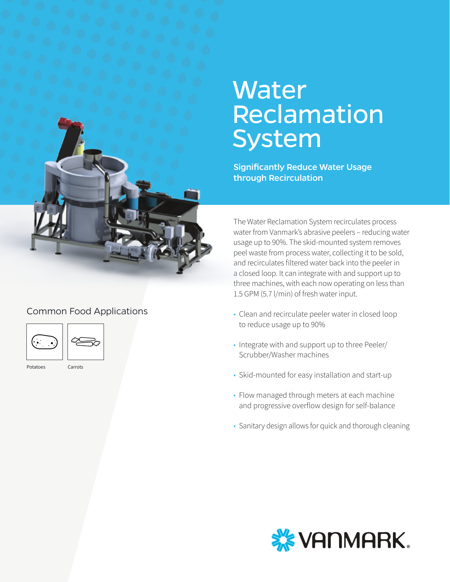

## Common Food Applications



Potatoes Carrots

# **Water** Reclamation System

Significantly Reduce Water Usage through Recirculation

The Water Reclamation System recirculates process water from Vanmark's abrasive peelers – reducing water usage up to 90%. The skid-mounted system removes peel waste from process water, collecting it to be sold, and recirculates filtered water back into the peeler in a closed loop. It can integrate with and support up to three machines, with each now operating on less than 1.5 GPM (5.7 l/min) of fresh water input.

- Clean and recirculate peeler water in closed loop to reduce usage up to 90%
- Integrate with and support up to three Peeler/ Scrubber/Washer machines
- Skid-mounted for easy installation and start-up
- Flow managed through meters at each machine and progressive overflow design for self-balance
- Sanitary design allows for quick and thorough cleaning